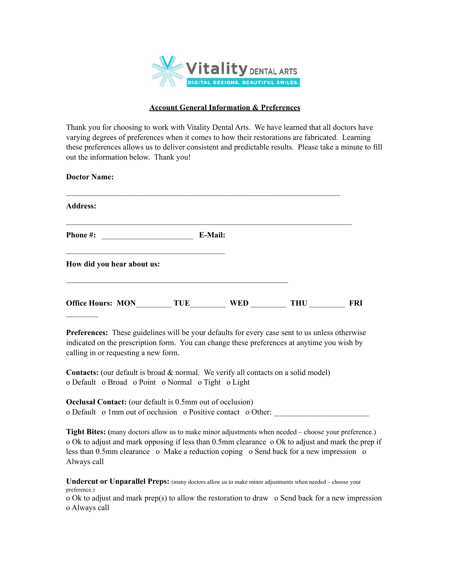

## **Account General Information & Preferences**

Thank you for choosing to work with Vitality Dental Arts. We have learned that all doctors have varying degrees of preferences when it comes to how their restorations are fabricated. Learning these preferences allows us to deliver consistent and predictable results. Please take a minute to fill out the information below. Thank you!

| <b>Doctor Name:</b>        |            |            |            |            |
|----------------------------|------------|------------|------------|------------|
| <b>Address:</b>            |            |            |            |            |
| Phone #:                   |            | E-Mail:    |            |            |
| How did you hear about us: |            |            |            |            |
| <b>Office Hours: MON</b>   | <b>TUE</b> | <b>WED</b> | <b>THU</b> | <b>FRI</b> |

**Preferences:** These guidelines will be your defaults for every case sent to us unless otherwise indicated on the prescription form. You can change these preferences at anytime you wish by calling in or requesting a new form.

**Contacts:** (our default is broad & normal. We verify all contacts on a solid model) o Default o Broad o Point o Normal o Tight o Light

**Occlusal Contact:** (our default is 0.5mm out of occlusion) o Default o 1mm out of occlusion o Positive contact o Other:

**Tight Bites: (**many doctors allow us to make minor adjustments when needed – choose your preference.) o Ok to adjust and mark opposing if less than 0.5mm clearance o Ok to adjust and mark the prep if less than 0.5mm clearance o Make a reduction coping o Send back for a new impression o Always call

**Undercut or Unparallel Preps:** (many doctors allow us to make minor adjustments when needed – choose your preference.)

o Ok to adjust and mark prep(s) to allow the restoration to draw o Send back for a new impression o Always call